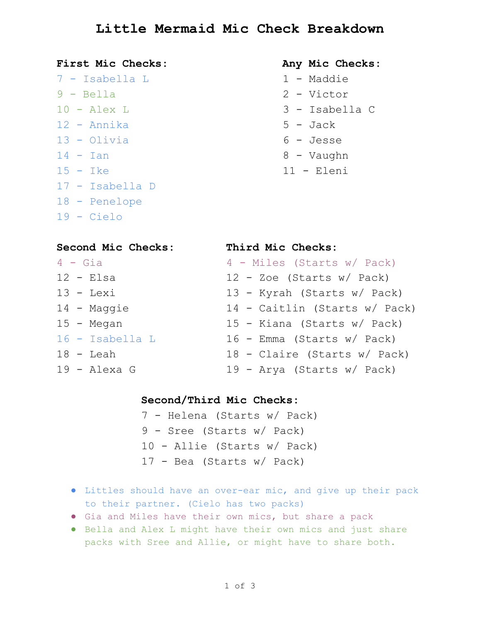# **Little Mermaid Mic Check Breakdown**

#### **First Mic Checks: Any Mic Checks:**

 Isabella L 1 Maddie Bella 2 Victor 10 - Alex L 3 - Isabella C – Annika  $5$  – Jack Olivia 6 Jesse - Ian  $8$  - Vaughn 15 - Ike 11 - Eleni Isabella D Penelope 19 Cielo

- 
- 
- 
- 
- 
- 
- 

| Second Mic Checks: | Third Mic Checks:             |
|--------------------|-------------------------------|
| $4 - Gia$          | 4 - Miles (Starts w/ Pack)    |
| $12$ - Elsa        | $12$ - Zoe (Starts w/ Pack)   |
| $13 -$ Lexi        | 13 - Kyrah (Starts w/ Pack)   |
| 14 - Maggie        | 14 - Caitlin (Starts w/ Pack) |
| 15 - Megan         | 15 - Kiana (Starts w/ Pack)   |
| $16$ - Isabella L  | 16 - Emma (Starts w/ Pack)    |
| $18$ - Leah        | 18 - Claire (Starts w/ Pack)  |
| $19$ - Alexa G     | 19 - Arya (Starts w/ Pack)    |

## **Second/Third Mic Checks:**

- 7 Helena (Starts w/ Pack) 9 - Sree (Starts w/ Pack) 10 Allie (Starts w/ Pack)  $17$  - Bea (Starts w/ Pack)
- Littles should have an overear mic, and give up their pack to their partner. (Cielo has two packs)
- Gia and Miles have their own mics, but share a pack
- Bella and Alex L might have their own mics and just share packs with Sree and Allie, or might have to share both.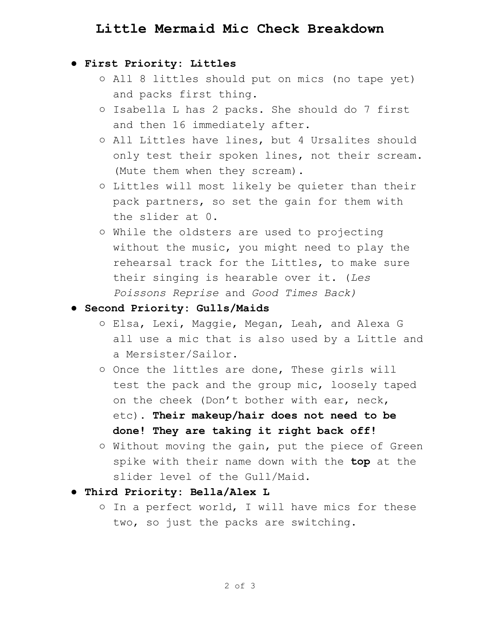# **Little Mermaid Mic Check Breakdown**

### **● First Priority: Littles**

- All 8 littles should put on mics (no tape yet) and packs first thing.
- Isabella L has 2 packs. She should do 7 first and then 16 immediately after.
- All Littles have lines, but 4 Ursalites should only test their spoken lines, not their scream. (Mute them when they scream).
- Littles will most likely be quieter than their pack partners, so set the gain for them with the slider at 0.
- While the oldsters are used to projecting without the music, you might need to play the rehearsal track for the Littles, to make sure their singing is hearable over it. (*Les Poissons Reprise* and *Good Times Back﴿*

#### **● Second Priority: Gulls/Maids**

- Elsa, Lexi, Maggie, Megan, Leah, and Alexa G all use a mic that is also used by a Little and a Mersister/Sailor.
- Once the littles are done, These girls will test the pack and the group mic, loosely taped on the cheek (Don't bother with ear, neck, etc). **Their makeup/hair does not need to be done! They are taking it right back off!**
- Without moving the gain, put the piece of Green spike with their name down with the **top** at the slider level of the Gull/Maid.
- **● Third Priority: Bella/Alex L**
	- In a perfect world, I will have mics for these two, so just the packs are switching.